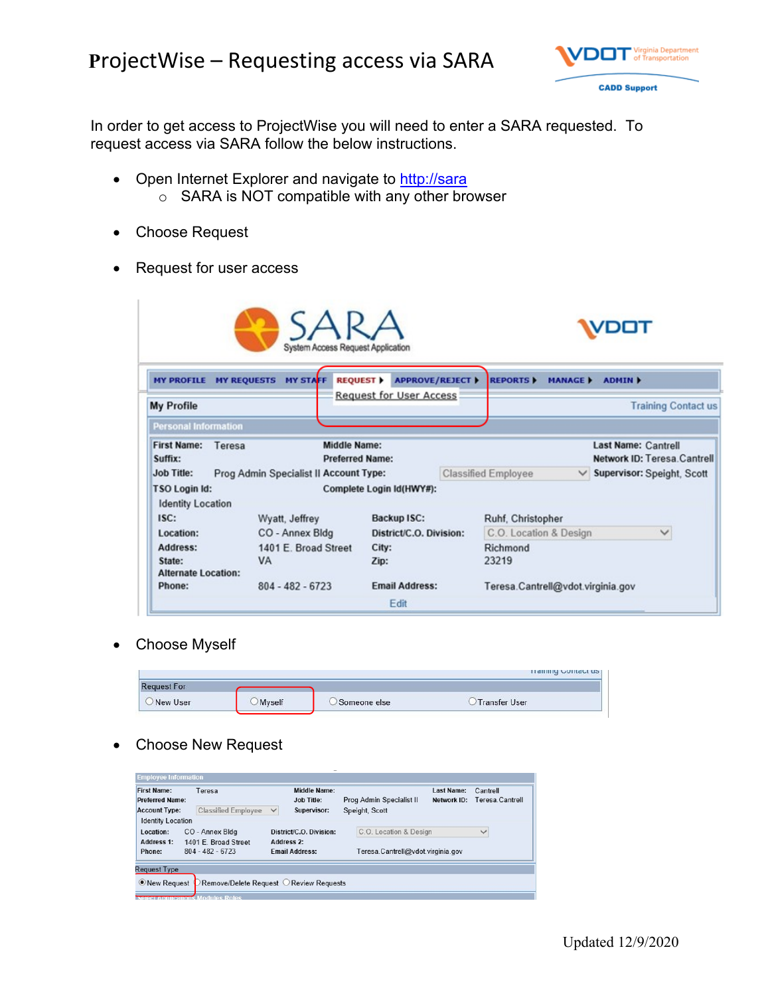## **P**rojectWise – Requesting access via SARA



In order to get access to ProjectWise you will need to enter a SARA requested. To request access via SARA follow the below instructions.

- Open Internet Explorer and navigate to [http://sara](http://sara/) o SARA is NOT compatible with any other browser
- Choose Request
- Request for user access

|                                                  | System Access Request Application      |                                           |                                   |                    |                                                           |
|--------------------------------------------------|----------------------------------------|-------------------------------------------|-----------------------------------|--------------------|-----------------------------------------------------------|
| <b>MY REQUESTS</b><br><b>MY PROFILE</b>          | <b>MY STAFF</b>                        | <b>APPROVE/REJECT ▶</b><br><b>REQUEST</b> | <b>REPORTS</b>                    | <b>MANAGE &gt;</b> | <b>ADMIN K</b>                                            |
| <b>My Profile</b>                                |                                        | <b>Request for User Access</b>            |                                   |                    | <b>Training Contact us</b>                                |
| <b>Personal Information</b>                      |                                        |                                           |                                   |                    |                                                           |
| <b>First Name:</b><br>Teresa<br>Suffix:          | Middle Name:<br><b>Preferred Name:</b> |                                           |                                   |                    | <b>Last Name: Cantrell</b><br>Network ID: Teresa Cantrell |
| <b>Job Title:</b>                                | Prog Admin Specialist II Account Type: |                                           | <b>Classified Employee</b>        |                    | $\vee$ Supervisor: Speight, Scott                         |
| <b>TSO Login Id:</b><br><b>Identity Location</b> |                                        | Complete Login Id(HWY#):                  |                                   |                    |                                                           |
| ISC:                                             | Wyatt, Jeffrey                         | <b>Backup ISC:</b>                        | Ruhf, Christopher                 |                    |                                                           |
| Location:                                        | CO - Annex Bldg                        | District/C.O. Division:                   | C.O. Location & Design            |                    | $\checkmark$                                              |
| Address:                                         | 1401 E. Broad Street                   | City:                                     | Richmond                          |                    |                                                           |
| State:<br><b>Alternate Location:</b>             | <b>VA</b>                              | Zip:                                      | 23219                             |                    |                                                           |
| Phone:                                           | $804 - 482 - 6723$                     | <b>Email Address:</b>                     | Teresa.Cantrell@vdot.virginia.gov |                    |                                                           |
|                                                  |                                        | Edit                                      |                                   |                    |                                                           |

Choose Myself

|                    |        |              | <b>Halling Contact us</b> |
|--------------------|--------|--------------|---------------------------|
| <b>Request For</b> |        |              |                           |
| New User           | Myself | Someone else | <b>Transfer User</b>      |

## Choose New Request

| <b>First Name:</b><br><b>Preferred Name:</b> | Teresa                                     | <b>Middle Name:</b><br><b>Job Title:</b> | <b>Last Name:</b><br>Prog Admin Specialist II<br>Network ID: | Cantrell<br>Teresa.Cantrell |
|----------------------------------------------|--------------------------------------------|------------------------------------------|--------------------------------------------------------------|-----------------------------|
| <b>Account Type:</b>                         | <b>Classified Employee</b>                 | $\checkmark$<br>Supervisor:              | Speight, Scott                                               |                             |
| <b>Identity Location</b>                     |                                            |                                          |                                                              |                             |
| Location:                                    | CO - Annex Bldg                            | District/C.O. Division:                  | C.O. Location & Design                                       | $\checkmark$                |
| Address 1:<br>Phone:                         | 1401 E. Broad Street<br>$804 - 482 - 6723$ | Address 2:<br><b>Fmail Address:</b>      | Teresa.Cantrell@vdot.virginia.gov                            |                             |
| <b>Request Type</b>                          |                                            |                                          |                                                              |                             |
| <b>O</b> New Request                         |                                            | Remove/Delete Request O Review Requests  |                                                              |                             |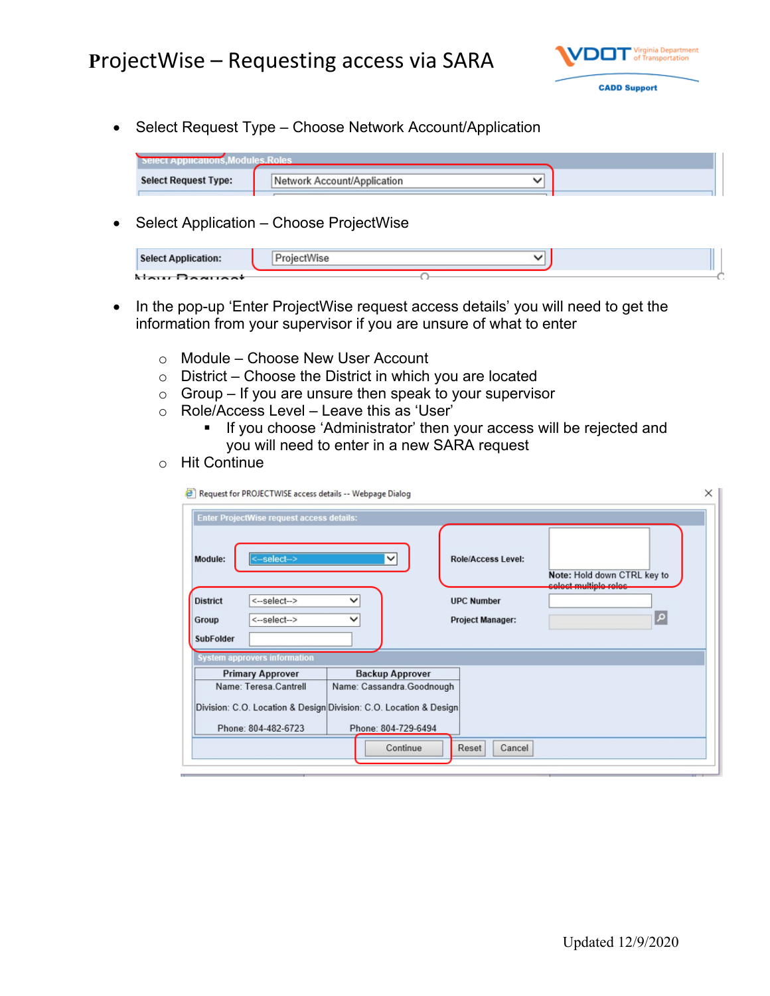

• Select Request Type – Choose Network Account/Application

| <b>Select Request Type:</b> | No |  |
|-----------------------------|----|--|
|                             |    |  |

• Select Application – Choose ProjectWise

| <b>Select Application:</b> |  |  |
|----------------------------|--|--|
| Nau Daausst                |  |  |

- In the pop-up 'Enter ProjectWise request access details' you will need to get the information from your supervisor if you are unsure of what to enter
	- o Module Choose New User Account
	- $\circ$  District Choose the District in which you are located
	- $\circ$  Group If you are unsure then speak to your supervisor
	- o Role/Access Level Leave this as 'User'
		- **If you choose 'Administrator' then your access will be rejected and** you will need to enter in a new SARA request
	- o Hit Continue

| <b>Enter ProjectWise request access details:</b> |                           |                                                                   |                                                |                                                       |
|--------------------------------------------------|---------------------------|-------------------------------------------------------------------|------------------------------------------------|-------------------------------------------------------|
| Module:<br><b>District</b>                       | <-select-><br><-select--> | $\check{ }$                                                       | <b>Role/Access Level:</b><br><b>UPC Number</b> | Note: Hold down CTRL key to<br>coloct multiple reloc- |
| Group                                            | <-select-->               | $\check{ }$                                                       | <b>Project Manager:</b>                        | م                                                     |
| <b>SubFolder</b>                                 |                           |                                                                   |                                                |                                                       |
| <b>System approvers information</b>              |                           |                                                                   |                                                |                                                       |
| <b>Primary Approver</b>                          |                           | <b>Backup Approver</b>                                            |                                                |                                                       |
| Name: Teresa Cantrell                            |                           | Name: Cassandra.Goodnough                                         |                                                |                                                       |
|                                                  |                           | Division: C.O. Location & Design Division: C.O. Location & Design |                                                |                                                       |
| Phone: 804-482-6723                              |                           | Phone: 804-729-6494                                               |                                                |                                                       |
|                                                  |                           | Continue                                                          | Cancel<br>Reset                                |                                                       |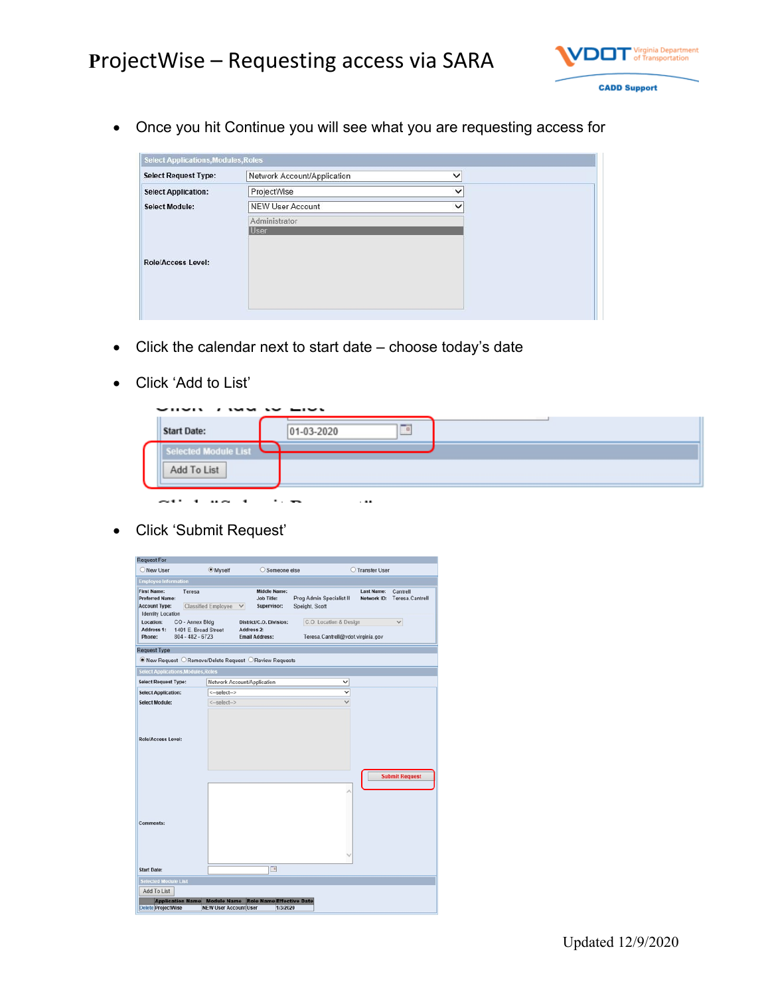

Once you hit Continue you will see what you are requesting access for

| <b>Select Request Type:</b> | Network Account/Application  | $\checkmark$ |
|-----------------------------|------------------------------|--------------|
| <b>Select Application:</b>  | ProjectWise                  | $\checkmark$ |
| <b>Select Module:</b>       | <b>NEW User Account</b>      | $\checkmark$ |
| <b>Role/Access Level:</b>   | Administrator<br><b>User</b> |              |

- Click the calendar next to start date choose today's date
- Click 'Add to List'

| $\sim$<br><b>Start Date:</b>      | 01-03-2020 | $\Box$ |  |
|-----------------------------------|------------|--------|--|
| <b>Module List</b><br>Add To List |            |        |  |

Click 'Submit Request'

| <b>Myself</b><br>Classified Employee<br>$\checkmark$<br>CO - Annex Bldg<br>1401 E. Broad Street<br>$804 - 482 - 6723$<br><b>Select Applications, Modules, Roles</b><br>Network Account/Application<br><-select-><br><-select-> | Someone else<br><b>Middle Name:</b><br><b>Job Title:</b><br>Supervisor:<br>District/C.O. Division:<br>Address 2:<br><b>Email Address:</b><br>● New Request ○ Remove/Delete Request ○ Review Requests | Prog Admin Specialist II<br>Speight, Scott<br>C.O. Location & Design<br>Teresa.Cantrell@vdot.virginia.gov<br>v<br>v | <b>O</b> Transfer User<br><b>Last Name:</b><br>Network ID: | Cantrell<br>Teresa.Cantrell<br>$\checkmark$ |
|--------------------------------------------------------------------------------------------------------------------------------------------------------------------------------------------------------------------------------|------------------------------------------------------------------------------------------------------------------------------------------------------------------------------------------------------|---------------------------------------------------------------------------------------------------------------------|------------------------------------------------------------|---------------------------------------------|
|                                                                                                                                                                                                                                |                                                                                                                                                                                                      |                                                                                                                     |                                                            |                                             |
|                                                                                                                                                                                                                                |                                                                                                                                                                                                      |                                                                                                                     |                                                            |                                             |
|                                                                                                                                                                                                                                |                                                                                                                                                                                                      |                                                                                                                     |                                                            |                                             |
|                                                                                                                                                                                                                                |                                                                                                                                                                                                      |                                                                                                                     |                                                            |                                             |
|                                                                                                                                                                                                                                |                                                                                                                                                                                                      |                                                                                                                     |                                                            |                                             |
|                                                                                                                                                                                                                                |                                                                                                                                                                                                      |                                                                                                                     |                                                            |                                             |
|                                                                                                                                                                                                                                |                                                                                                                                                                                                      |                                                                                                                     |                                                            |                                             |
|                                                                                                                                                                                                                                |                                                                                                                                                                                                      |                                                                                                                     |                                                            |                                             |
|                                                                                                                                                                                                                                |                                                                                                                                                                                                      |                                                                                                                     |                                                            |                                             |
|                                                                                                                                                                                                                                |                                                                                                                                                                                                      |                                                                                                                     |                                                            | <b>Submit Request</b>                       |
|                                                                                                                                                                                                                                |                                                                                                                                                                                                      |                                                                                                                     |                                                            |                                             |
|                                                                                                                                                                                                                                |                                                                                                                                                                                                      |                                                                                                                     |                                                            |                                             |
|                                                                                                                                                                                                                                |                                                                                                                                                                                                      |                                                                                                                     |                                                            |                                             |
|                                                                                                                                                                                                                                |                                                                                                                                                                                                      | $\Box$                                                                                                              | <b>Role Name Effective Date</b><br><b>Module Name</b>      | <b>NEW User Account User</b><br>1/3/2020    |